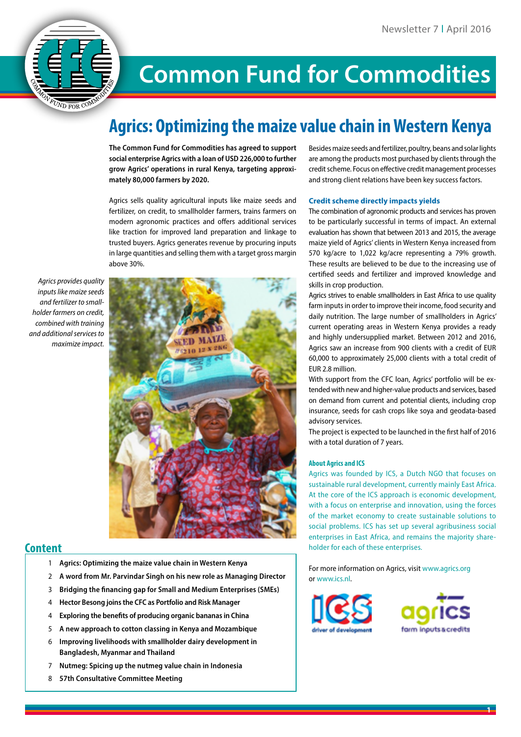

# **Common Fund for Commodities**

## **Agrics: Optimizing the maize value chain in Western Kenya**

**The Common Fund for Commodities has agreed to support social enterprise Agrics with a loan of USD 226,000 to further grow Agrics' operations in rural Kenya, targeting approximately 80,000 farmers by 2020.**

Agrics sells quality agricultural inputs like maize seeds and fertilizer, on credit, to smallholder farmers, trains farmers on modern agronomic practices and offers additional services like traction for improved land preparation and linkage to trusted buyers. Agrics generates revenue by procuring inputs in large quantities and selling them with a target gross margin above 30%.

*Agrics provides quality inputs like maize seeds and fertilizer to smallholder farmers on credit, combined with training and additional services to maximize impact.*



### **Content**

- 1 **Agrics: Optimizing the maize value chain in Western Kenya**
- 2 **A word from Mr. Parvindar Singh on his new role as Managing Director**
- 3 **Bridging the financing gap for Small and Medium Enterprises (SMEs)**
- 4 **Hector Besong joins the CFC as Portfolio and Risk Manager**
- 4 **Exploring the benefits of producing organic bananas in China**
- 5 **A new approach to cotton classing in Kenya and Mozambique**
- 6 **Improving livelihoods with smallholder dairy development in Bangladesh, Myanmar and Thailand**
- 7 **Nutmeg: Spicing up the nutmeg value chain in Indonesia**
- 8 **57th Consultative Committee Meeting**

Besides maize seeds and fertilizer, poultry, beans and solar lights are among the products most purchased by clients through the credit scheme. Focus on effective credit management processes and strong client relations have been key success factors.

#### **Credit scheme directly impacts yields**

The combination of agronomic products and services has proven to be particularly successful in terms of impact. An external evaluation has shown that between 2013 and 2015, the average maize yield of Agrics' clients in Western Kenya increased from 570 kg/acre to 1,022 kg/acre representing a 79% growth. These results are believed to be due to the increasing use of certified seeds and fertilizer and improved knowledge and skills in crop production.

Agrics strives to enable smallholders in East Africa to use quality farm inputs in order to improve their income, food security and daily nutrition. The large number of smallholders in Agrics' current operating areas in Western Kenya provides a ready and highly undersupplied market. Between 2012 and 2016, Agrics saw an increase from 900 clients with a credit of EUR 60,000 to approximately 25,000 clients with a total credit of EUR 2.8 million.

With support from the CFC loan, Agrics' portfolio will be extended with new and higher-value products and services, based on demand from current and potential clients, including crop insurance, seeds for cash crops like soya and geodata-based advisory services.

The project is expected to be launched in the first half of 2016 with a total duration of 7 years.

#### **About Agrics and ICS**

Agrics was founded by ICS, a Dutch NGO that focuses on sustainable rural development, currently mainly East Africa. At the core of the ICS approach is economic development, with a focus on enterprise and innovation, using the forces of the market economy to create sustainable solutions to social problems. ICS has set up several agribusiness social enterprises in East Africa, and remains the majority shareholder for each of these enterprises.

For more information on Agrics, visit www.agrics.org or www.ics.nl.



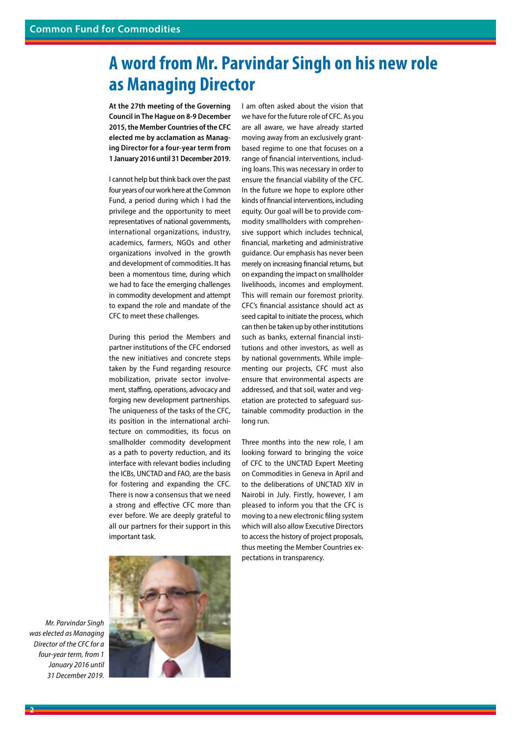### **A word from Mr. Parvindar Singh on his new role as Managing Director**

**At the 27th meeting of the Governing Council in The Hague on 8-9 December 2015, the Member Countries of the CFC elected me by acclamation as Managing Director for a four-year term from 1 January 2016 until 31 December 2019.**

I cannot help but think back over the past four years of our work here at the Common Fund, a period during which I had the privilege and the opportunity to meet representatives of national governments, international organizations, industry, academics, farmers, NGOs and other organizations involved in the growth and development of commodities. It has been a momentous time, during which we had to face the emerging challenges in commodity development and attempt to expand the role and mandate of the CFC to meet these challenges.

During this period the Members and partner institutions of the CFC endorsed the new initiatives and concrete steps taken by the Fund regarding resource mobilization, private sector involvement, staffing, operations, advocacy and forging new development partnerships. The uniqueness of the tasks of the CFC, its position in the international architecture on commodities, its focus on smallholder commodity development as a path to poverty reduction, and its interface with relevant bodies including the ICBs, UNCTAD and FAO, are the basis for fostering and expanding the CFC. There is now a consensus that we need a strong and effective CFC more than ever before. We are deeply grateful to all our partners for their support in this important task.

we have for the future role of CFC. As you are all aware, we have already started moving away from an exclusively grantbased regime to one that focuses on a range of financial interventions, including loans. This was necessary in order to ensure the financial viability of the CFC. In the future we hope to explore other kinds of financial interventions, including equity. Our goal will be to provide commodity smallholders with comprehensive support which includes technical, financial, marketing and administrative guidance. Our emphasis has never been merely on increasing financial returns, but on expanding the impact on smallholder livelihoods, incomes and employment. This will remain our foremost priority. CFC's financial assistance should act as seed capital to initiate the process, which can then be taken up by other institutions such as banks, external financial institutions and other investors, as well as by national governments. While implementing our projects, CFC must also ensure that environmental aspects are addressed, and that soil, water and vegetation are protected to safeguard sustainable commodity production in the long run.

I am often asked about the vision that

Three months into the new role, I am looking forward to bringing the voice of CFC to the UNCTAD Expert Meeting on Commodities in Geneva in April and to the deliberations of UNCTAD XIV in Nairobi in July. Firstly, however, I am pleased to inform you that the CFC is moving to a new electronic filing system which will also allow Executive Directors to access the history of project proposals, thus meeting the Member Countries expectations in transparency.

*Mr. Parvindar Singh was elected as Managing Director of the CFC for a four-year term, from 1 January 2016 until 31 December 2019.*

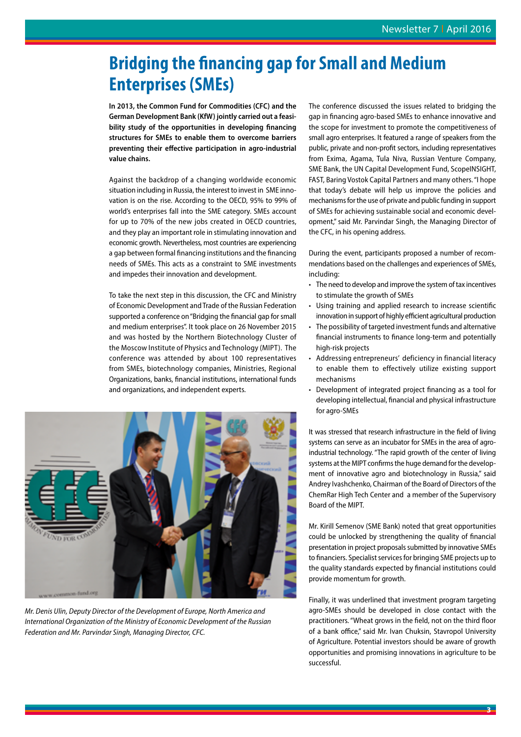## **Bridging the financing gap for Small and Medium Enterprises (SMEs)**

**In 2013, the Common Fund for Commodities (CFC) and the German Development Bank (KfW) jointly carried out a feasibility study of the opportunities in developing financing structures for SMEs to enable them to overcome barriers preventing their effective participation in agro-industrial value chains.** 

Against the backdrop of a changing worldwide economic situation including in Russia, the interest to invest in SME innovation is on the rise. According to the OECD, 95% to 99% of world's enterprises fall into the SME category. SMEs account for up to 70% of the new jobs created in OECD countries, and they play an important role in stimulating innovation and economic growth. Nevertheless, most countries are experiencing a gap between formal financing institutions and the financing needs of SMEs. This acts as a constraint to SME investments and impedes their innovation and development.

To take the next step in this discussion, the CFC and Ministry of Economic Development and Trade of the Russian Federation supported a conference on "Bridging the financial gap for small and medium enterprises". It took place on 26 November 2015 and was hosted by the Northern Biotechnology Cluster of the Moscow Institute of Physics and Technology (MIPT). The conference was attended by about 100 representatives from SMEs, biotechnology companies, Ministries, Regional Organizations, banks, financial institutions, international funds and organizations, and independent experts.



*Mr. Denis Ulin, Deputy Director of the Development of Europe, North America and International Organization of the Ministry of Economic Development of the Russian Federation and Mr. Parvindar Singh, Managing Director, CFC.*

The conference discussed the issues related to bridging the gap in financing agro-based SMEs to enhance innovative and the scope for investment to promote the competitiveness of small agro enterprises. It featured a range of speakers from the public, private and non-profit sectors, including representatives from Exima, Agama, Tula Niva, Russian Venture Company, SME Bank, the UN Capital Development Fund, ScopeINSIGHT, FAST, Baring Vostok Capital Partners and many others. "I hope that today's debate will help us improve the policies and mechanisms for the use of private and public funding in support of SMEs for achieving sustainable social and economic development," said Mr. Parvindar Singh, the Managing Director of the CFC, in his opening address.

During the event, participants proposed a number of recommendations based on the challenges and experiences of SMEs, including:

- The need to develop and improve the system of tax incentives to stimulate the growth of SMEs
- Using training and applied research to increase scientific innovation in support of highly efficient agricultural production
- The possibility of targeted investment funds and alternative financial instruments to finance long-term and potentially high-risk projects
- Addressing entrepreneurs' deficiency in financial literacy to enable them to effectively utilize existing support mechanisms
- Development of integrated project financing as a tool for developing intellectual, financial and physical infrastructure for agro-SMEs

It was stressed that research infrastructure in the field of living systems can serve as an incubator for SMEs in the area of agroindustrial technology. "The rapid growth of the center of living systems at the MIPT confirms the huge demand for the development of innovative agro and biotechnology in Russia," said Andrey Ivashchenko, Chairman of the Board of Directors of the ChemRar High Tech Center and a member of the Supervisory Board of the MIPT.

Mr. Kirill Semenov (SME Bank) noted that great opportunities could be unlocked by strengthening the quality of financial presentation in project proposals submitted by innovative SMEs to financiers. Specialist services for bringing SME projects up to the quality standards expected by financial institutions could provide momentum for growth.

Finally, it was underlined that investment program targeting agro-SMEs should be developed in close contact with the practitioners. "Wheat grows in the field, not on the third floor of a bank office," said Mr. Ivan Chuksin, Stavropol University of Agriculture. Potential investors should be aware of growth opportunities and promising innovations in agriculture to be successful.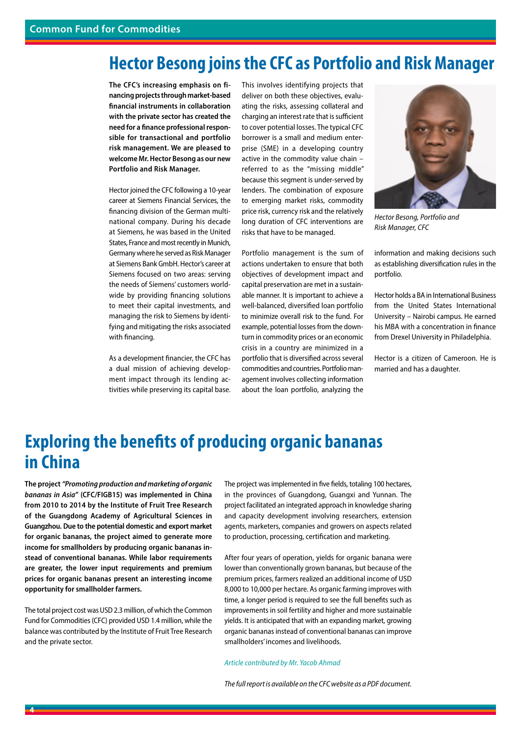### **Hector Besong joins the CFC as Portfolio and Risk Manager**

**The CFC's increasing emphasis on financing projects through market-based financial instruments in collaboration with the private sector has created the need for a finance professional responsible for transactional and portfolio risk management. We are pleased to welcome Mr. Hector Besong as our new Portfolio and Risk Manager.** 

Hector joined the CFC following a 10-year career at Siemens Financial Services, the financing division of the German multinational company. During his decade at Siemens, he was based in the United States, France and most recently in Munich, Germany where he served as Risk Manager at Siemens Bank GmbH. Hector's career at Siemens focused on two areas: serving the needs of Siemens' customers worldwide by providing financing solutions to meet their capital investments, and managing the risk to Siemens by identifying and mitigating the risks associated with financing.

As a development financier, the CFC has a dual mission of achieving development impact through its lending activities while preserving its capital base.

This involves identifying projects that deliver on both these objectives, evaluating the risks, assessing collateral and charging an interest rate that is sufficient to cover potential losses. The typical CFC borrower is a small and medium enterprise (SME) in a developing country active in the commodity value chain – referred to as the "missing middle" because this segment is under-served by lenders. The combination of exposure to emerging market risks, commodity price risk, currency risk and the relatively long duration of CFC interventions are risks that have to be managed.

Portfolio management is the sum of actions undertaken to ensure that both objectives of development impact and capital preservation are met in a sustainable manner. It is important to achieve a well-balanced, diversified loan portfolio to minimize overall risk to the fund. For example, potential losses from the downturn in commodity prices or an economic crisis in a country are minimized in a portfolio that is diversified across several commodities and countries. Portfolio management involves collecting information about the loan portfolio, analyzing the



*Hector Besong, Portfolio and Risk Manager, CFC*

information and making decisions such as establishing diversification rules in the portfolio.

Hector holds a BA in International Business from the United States International University – Nairobi campus. He earned his MBA with a concentration in finance from Drexel University in Philadelphia.

Hector is a citizen of Cameroon. He is married and has a daughter.

### **Exploring the benefits of producing organic bananas in China**

**The project** *"Promoting production and marketing of organic bananas in Asia"* **(CFC/FIGB15) was implemented in China from 2010 to 2014 by the Institute of Fruit Tree Research of the Guangdong Academy of Agricultural Sciences in Guangzhou. Due to the potential domestic and export market for organic bananas, the project aimed to generate more income for smallholders by producing organic bananas instead of conventional bananas. While labor requirements are greater, the lower input requirements and premium prices for organic bananas present an interesting income opportunity for smallholder farmers.** 

The total project cost was USD 2.3 million, of which the Common Fund for Commodities (CFC) provided USD 1.4 million, while the balance was contributed by the Institute of Fruit Tree Research and the private sector.

The project was implemented in five fields, totaling 100 hectares, in the provinces of Guangdong, Guangxi and Yunnan. The project facilitated an integrated approach in knowledge sharing and capacity development involving researchers, extension agents, marketers, companies and growers on aspects related to production, processing, certification and marketing.

After four years of operation, yields for organic banana were lower than conventionally grown bananas, but because of the premium prices, farmers realized an additional income of USD 8,000 to 10,000 per hectare. As organic farming improves with time, a longer period is required to see the full benefits such as improvements in soil fertility and higher and more sustainable yields. It is anticipated that with an expanding market, growing organic bananas instead of conventional bananas can improve smallholders' incomes and livelihoods.

#### *Article contributed by Mr. Yacob Ahmad*

*The full report is available on the CFC website as a PDF document.*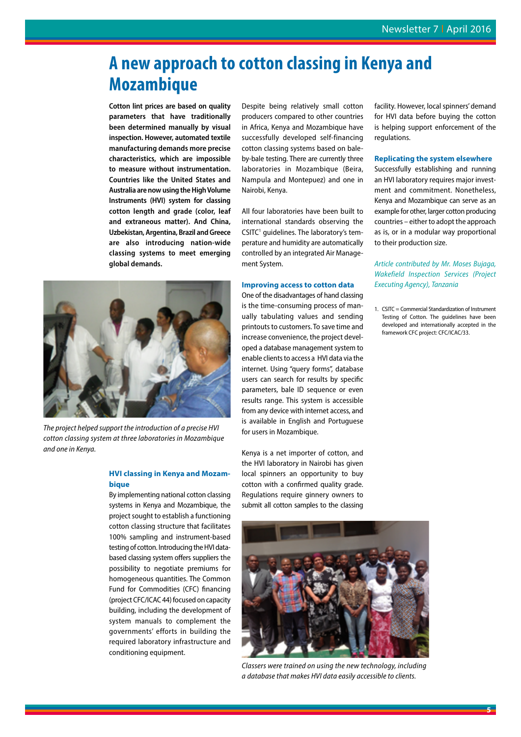## **A new approach to cotton classing in Kenya and Mozambique**

**Cotton lint prices are based on quality parameters that have traditionally been determined manually by visual inspection. However, automated textile manufacturing demands more precise characteristics, which are impossible to measure without instrumentation. Countries like the United States and Australia are now using the High Volume Instruments (HVI) system for classing cotton length and grade (color, leaf and extraneous matter). And China, Uzbekistan, Argentina, Brazil and Greece are also introducing nation-wide classing systems to meet emerging global demands.**



*The project helped support the introduction of a precise HVI cotton classing system at three laboratories in Mozambique and one in Kenya.*

#### **HVI classing in Kenya and Mozambique**

By implementing national cotton classing systems in Kenya and Mozambique, the project sought to establish a functioning cotton classing structure that facilitates 100% sampling and instrument-based testing of cotton. Introducing the HVI databased classing system offers suppliers the possibility to negotiate premiums for homogeneous quantities. The Common Fund for Commodities (CFC) financing (project CFC/ICAC 44) focused on capacity building, including the development of system manuals to complement the governments' efforts in building the required laboratory infrastructure and conditioning equipment.

Despite being relatively small cotton producers compared to other countries in Africa, Kenya and Mozambique have successfully developed self-financing cotton classing systems based on baleby-bale testing. There are currently three laboratories in Mozambique (Beira, Nampula and Montepuez) and one in Nairobi, Kenya.

All four laboratories have been built to international standards observing the CSITC<sup>1</sup> guidelines. The laboratory's temperature and humidity are automatically controlled by an integrated Air Management System.

#### **Improving access to cotton data**

One of the disadvantages of hand classing is the time-consuming process of manually tabulating values and sending printouts to customers. To save time and increase convenience, the project developed a database management system to enable clients to access a HVI data via the internet. Using "query forms", database users can search for results by specific parameters, bale ID sequence or even results range. This system is accessible from any device with internet access, and is available in English and Portuguese for users in Mozambique.

Kenya is a net importer of cotton, and the HVI laboratory in Nairobi has given local spinners an opportunity to buy cotton with a confirmed quality grade. Regulations require ginnery owners to submit all cotton samples to the classing



*Classers were trained on using the new technology, including a database that makes HVI data easily accessible to clients.*

facility. However, local spinners' demand for HVI data before buying the cotton is helping support enforcement of the regulations.

#### **Replicating the system elsewhere**

Successfully establishing and running an HVI laboratory requires major investment and commitment. Nonetheless, Kenya and Mozambique can serve as an example for other, larger cotton producing countries – either to adopt the approach as is, or in a modular way proportional to their production size.

#### *Article contributed by Mr. Moses Bujaga, Wakefield Inspection Services (Project Executing Agency), Tanzania*

1. CSITC = Commercial Standardization of Instrument Testing of Cotton. The guidelines have been developed and internationally accepted in the framework CFC project: CFC/ICAC/33.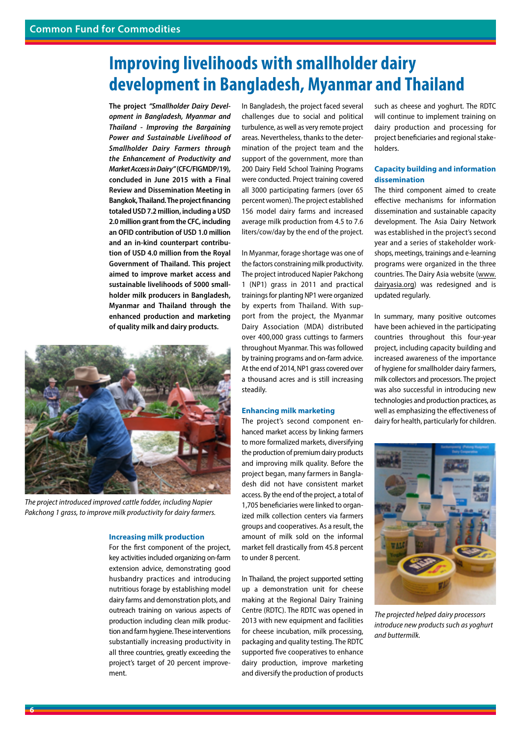## **Improving livelihoods with smallholder dairy development in Bangladesh, Myanmar and Thailand**

**The project** *"Smallholder Dairy Development in Bangladesh, Myanmar and Thailand - Improving the Bargaining Power and Sustainable Livelihood of Smallholder Dairy Farmers through the Enhancement of Productivity and Market Access in Dairy"* **(CFC/FIGMDP/19), concluded in June 2015 with a Final Review and Dissemination Meeting in Bangkok, Thailand. The project financing totaled USD 7.2 million, including a USD 2.0 million grant from the CFC, including an OFID contribution of USD 1.0 million and an in-kind counterpart contribution of USD 4.0 million from the Royal Government of Thailand. This project aimed to improve market access and sustainable livelihoods of 5000 smallholder milk producers in Bangladesh, Myanmar and Thailand through the enhanced production and marketing of quality milk and dairy products.** 



*The project introduced improved cattle fodder, including Napier Pakchong 1 grass, to improve milk productivity for dairy farmers.* 

#### **Increasing milk production**

For the first component of the project, key activities included organizing on-farm extension advice, demonstrating good husbandry practices and introducing nutritious forage by establishing model dairy farms and demonstration plots, and outreach training on various aspects of production including clean milk production and farm hygiene. These interventions substantially increasing productivity in all three countries, greatly exceeding the project's target of 20 percent improvement.

In Bangladesh, the project faced several challenges due to social and political turbulence, as well as very remote project areas. Nevertheless, thanks to the determination of the project team and the support of the government, more than 200 Dairy Field School Training Programs were conducted. Project training covered all 3000 participating farmers (over 65 percent women). The project established 156 model dairy farms and increased average milk production from 4.5 to 7.6 liters/cow/day by the end of the project.

In Myanmar, forage shortage was one of the factors constraining milk productivity. The project introduced Napier Pakchong 1 (NP1) grass in 2011 and practical trainings for planting NP1 were organized by experts from Thailand. With support from the project, the Myanmar Dairy Association (MDA) distributed over 400,000 grass cuttings to farmers throughout Myanmar. This was followed by training programs and on-farm advice. At the end of 2014, NP1 grass covered over a thousand acres and is still increasing steadily.

#### **Enhancing milk marketing**

The project's second component enhanced market access by linking farmers to more formalized markets, diversifying the production of premium dairy products and improving milk quality. Before the project began, many farmers in Bangladesh did not have consistent market access. By the end of the project, a total of 1,705 beneficiaries were linked to organized milk collection centers via farmers groups and cooperatives. As a result, the amount of milk sold on the informal market fell drastically from 45.8 percent to under 8 percent.

In Thailand, the project supported setting up a demonstration unit for cheese making at the Regional Dairy Training Centre (RDTC). The RDTC was opened in 2013 with new equipment and facilities for cheese incubation, milk processing, packaging and quality testing. The RDTC supported five cooperatives to enhance dairy production, improve marketing and diversify the production of products

such as cheese and yoghurt. The RDTC will continue to implement training on dairy production and processing for project beneficiaries and regional stakeholders.

#### **Capacity building and information dissemination**

The third component aimed to create effective mechanisms for information dissemination and sustainable capacity development. The Asia Dairy Network was established in the project's second year and a series of stakeholder workshops, meetings, trainings and e-learning programs were organized in the three countries. The Dairy Asia website (www. dairyasia.org) was redesigned and is updated regularly.

In summary, many positive outcomes have been achieved in the participating countries throughout this four-year project, including capacity building and increased awareness of the importance of hygiene for smallholder dairy farmers, milk collectors and processors. The project was also successful in introducing new technologies and production practices, as well as emphasizing the effectiveness of dairy for health, particularly for children.



*The projected helped dairy processors introduce new products such as yoghurt and buttermilk.*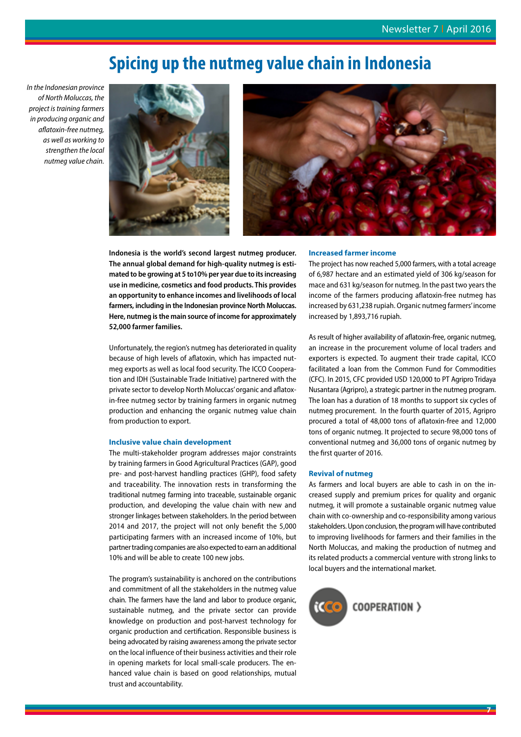### **Spicing up the nutmeg value chain in Indonesia**

*In the Indonesian province of North Moluccas, the project is training farmers in producing organic and aflatoxin-free nutmeg, as well as working to strengthen the local nutmeg value chain.*





**Indonesia is the world's second largest nutmeg producer. The annual global demand for high-quality nutmeg is estimated to be growing at 5 to10% per year due to its increasing use in medicine, cosmetics and food products. This provides an opportunity to enhance incomes and livelihoods of local farmers, including in the Indonesian province North Moluccas. Here, nutmeg is the main source of income for approximately 52,000 farmer families.** 

Unfortunately, the region's nutmeg has deteriorated in quality because of high levels of aflatoxin, which has impacted nutmeg exports as well as local food security. The ICCO Cooperation and IDH (Sustainable Trade Initiative) partnered with the private sector to develop North Moluccas' organic and aflatoxin-free nutmeg sector by training farmers in organic nutmeg production and enhancing the organic nutmeg value chain from production to export.

#### **Inclusive value chain development**

The multi-stakeholder program addresses major constraints by training farmers in Good Agricultural Practices (GAP), good pre- and post-harvest handling practices (GHP), food safety and traceability. The innovation rests in transforming the traditional nutmeg farming into traceable, sustainable organic production, and developing the value chain with new and stronger linkages between stakeholders. In the period between 2014 and 2017, the project will not only benefit the 5,000 participating farmers with an increased income of 10%, but partner trading companies are also expected to earn an additional 10% and will be able to create 100 new jobs.

The program's sustainability is anchored on the contributions and commitment of all the stakeholders in the nutmeg value chain. The farmers have the land and labor to produce organic, sustainable nutmeg, and the private sector can provide knowledge on production and post-harvest technology for organic production and certification. Responsible business is being advocated by raising awareness among the private sector on the local influence of their business activities and their role in opening markets for local small-scale producers. The enhanced value chain is based on good relationships, mutual trust and accountability.

#### **Increased farmer income**

The project has now reached 5,000 farmers, with a total acreage of 6,987 hectare and an estimated yield of 306 kg/season for mace and 631 kg/season for nutmeg. In the past two years the income of the farmers producing aflatoxin-free nutmeg has increased by 631,238 rupiah. Organic nutmeg farmers' income increased by 1,893,716 rupiah.

As result of higher availability of aflatoxin-free, organic nutmeg, an increase in the procurement volume of local traders and exporters is expected. To augment their trade capital, ICCO facilitated a loan from the Common Fund for Commodities (CFC). In 2015, CFC provided USD 120,000 to PT Agripro Tridaya Nusantara (Agripro), a strategic partner in the nutmeg program. The loan has a duration of 18 months to support six cycles of nutmeg procurement. In the fourth quarter of 2015, Agripro procured a total of 48,000 tons of aflatoxin-free and 12,000 tons of organic nutmeg. It projected to secure 98,000 tons of conventional nutmeg and 36,000 tons of organic nutmeg by the first quarter of 2016.

#### **Revival of nutmeg**

As farmers and local buyers are able to cash in on the increased supply and premium prices for quality and organic nutmeg, it will promote a sustainable organic nutmeg value chain with co-ownership and co-responsibility among various stakeholders. Upon conclusion, the program will have contributed to improving livelihoods for farmers and their families in the North Moluccas, and making the production of nutmeg and its related products a commercial venture with strong links to local buyers and the international market.